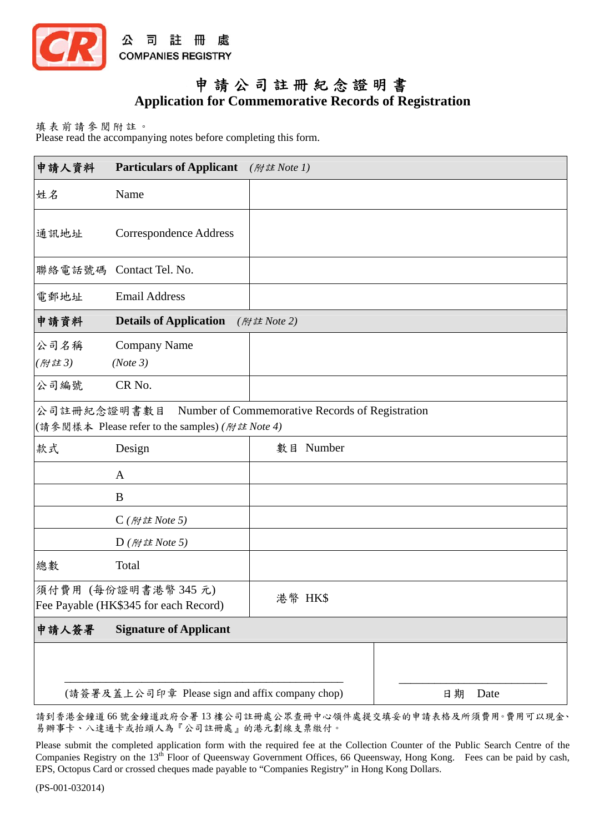

## 申請公司註冊紀念證明書 **Application for Commemorative Records of Registration**

填表前請參閱附註。 Please read the accompanying notes before completing this form.

| 申請人資料         | <b>Particulars of Applicant</b>                             | (附註 Note 1)                                     |    |      |
|---------------|-------------------------------------------------------------|-------------------------------------------------|----|------|
| 姓名            | Name                                                        |                                                 |    |      |
| 通訊地址          | <b>Correspondence Address</b>                               |                                                 |    |      |
|               | 聯絡電話號碼 Contact Tel. No.                                     |                                                 |    |      |
| 電郵地址          | <b>Email Address</b>                                        |                                                 |    |      |
| 申請資料          | <b>Details of Application</b><br>(附註 Note 2)                |                                                 |    |      |
| 公司名稱<br>(附註3) | Company Name<br>(Note 3)                                    |                                                 |    |      |
| 公司編號          | CR <sub>No.</sub>                                           |                                                 |    |      |
| 公司註冊紀念證明書數目   | (請參閱樣本 Please refer to the samples) (附註 Note 4)             | Number of Commemorative Records of Registration |    |      |
| 款式            | Design                                                      | 數目 Number                                       |    |      |
|               | A                                                           |                                                 |    |      |
|               | B                                                           |                                                 |    |      |
|               | $C$ (附註 Note 5)                                             |                                                 |    |      |
|               | $D$ ( <i>附註 Note 5</i> )                                    |                                                 |    |      |
| 總數            | Total                                                       |                                                 |    |      |
|               | 須付費用 (每份證明書港幣345元)<br>Fee Payable (HK\$345 for each Record) | 港幣 HK\$                                         |    |      |
| 申請人簽署         | <b>Signature of Applicant</b>                               |                                                 |    |      |
|               |                                                             |                                                 |    |      |
|               | (請簽署及蓋上公司印章 Please sign and affix company chop)             |                                                 | 日期 | Date |

請到香港金鐘道 66 號金鐘道政府合署 13 樓公司註冊處公眾查冊中心領件處提交填妥的申請表格及所須費用。費用可以現金、 易辦事卡、八達通卡或抬頭人為『公司註冊處』的港元劃線支票繳付。

Please submit the completed application form with the required fee at the Collection Counter of the Public Search Centre of the Companies Registry on the 13<sup>th</sup> Floor of Queensway Government Offices, 66 Queensway, Hong Kong. Fees can be paid by cash, EPS, Octopus Card or crossed cheques made payable to "Companies Registry" in Hong Kong Dollars.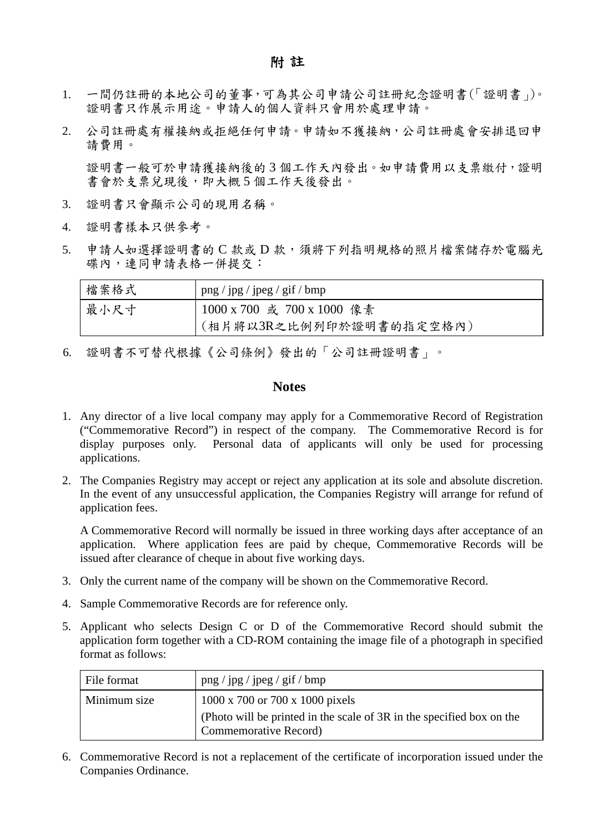- 1. 一間仍註冊的本地公司的董事,可為其公司申請公司註冊紀念證明書(「證明書」)。 證明書只作展示用途。申請人的個人資料只會用於處理申請。
- 2. 公司註冊處有權接納或拒絕任何申請。申請如不獲接納,公司註冊處會安排退回申 請費用。

證明書一般可於申請獲接納後的3個工作天內發出。如申請費用以支票繳付,證明 書會於支票兌現後,即大概 5 個工作天後發出。

- 3. 證明書只會顯示公司的現用名稱。
- 4. 證明書樣本只供參考。
- 5. 申請人如選擇證明書的 C款或 D款,須將下列指明規格的照片檔案儲存於電腦光 碟內,連同申請表格一併提交:

| 檔案格式 | $\log / \log / \log / \log / \log$ |
|------|------------------------------------|
| 最小尺寸 | 1000 x 700 或 700 x 1000 像素         |
|      | (相片將以3R之比例列印於證明書的指定空格內)            |

6. 證明書不可替代根據《公司條例》發出的「公司註冊證明書」。

## **Notes**

- 1. Any director of a live local company may apply for a Commemorative Record of Registration ("Commemorative Record") in respect of the company. The Commemorative Record is for display purposes only. Personal data of applicants will only be used for processing applications.
- 2. The Companies Registry may accept or reject any application at its sole and absolute discretion. In the event of any unsuccessful application, the Companies Registry will arrange for refund of application fees.

A Commemorative Record will normally be issued in three working days after acceptance of an application. Where application fees are paid by cheque, Commemorative Records will be issued after clearance of cheque in about five working days.

- 3. Only the current name of the company will be shown on the Commemorative Record.
- 4. Sample Commemorative Records are for reference only.
- 5. Applicant who selects Design C or D of the Commemorative Record should submit the application form together with a CD-ROM containing the image file of a photograph in specified format as follows:

| File format  | $\gamma$ png / jpg / jpeg / gif / bmp                                                                  |
|--------------|--------------------------------------------------------------------------------------------------------|
| Minimum size | 1000 x 700 or 700 x 1000 pixels                                                                        |
|              | (Photo will be printed in the scale of 3R in the specified box on the<br><b>Commemorative Record</b> ) |

6. Commemorative Record is not a replacement of the certificate of incorporation issued under the Companies Ordinance.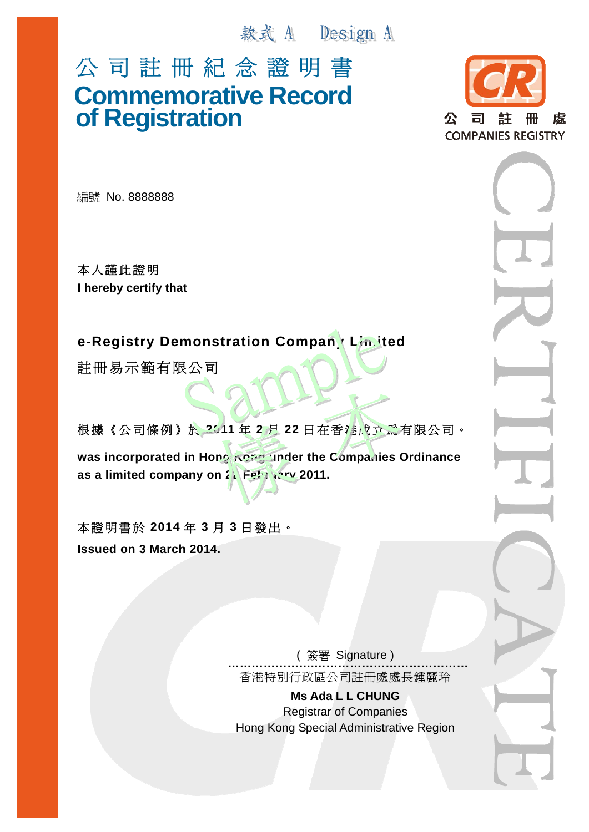款式 A Design A

## 公 司 註 冊 紀 念 證 明 書 **Commemorative Record of Registration**



編號 No. 8888888

本人謹此證明 **I hereby certify that** 

**e-Registry Demonstration Company Limited** 

註冊易示範有限公司

根據《公司條例》於 2011年2月 22日在香港成立為有限公司。

was incorporated in Hong Kong under the Companies Ordinance as a limited company on 2<sup>2</sup> February 2011.

本證明書於 **2014** 年 **3** 月 **3** 日發出。 **Issued on 3 March 2014.** 

> ( 簽署 Signature ) **………………….…………………………………** 香港特別行政區公司註冊處處長鍾麗玲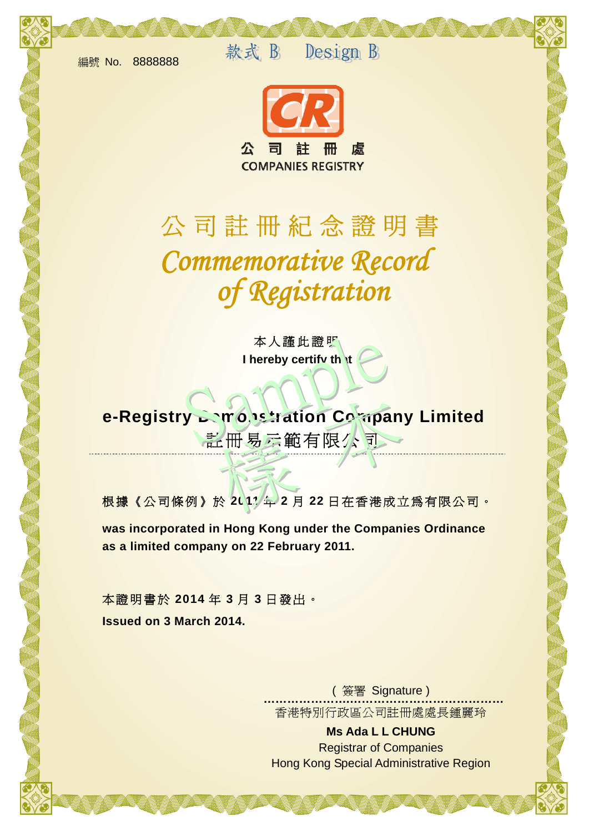編號 No. 8888888

款式 B Design B



## 公司註冊紀念證明書 *of Registration Commemorative Record*

本人謹此證明 **I hereby certify that** 

 註冊易示範有限公司 **e-Registry Demonstration Company Limited** 

根據《公司條例》於 **2011** 年 **2** 月 **22** 日在香港成立為有限公司。

**was incorporated in Hong Kong under the Companies Ordinance as a limited company on 22 February 2011.** 

本證明書於 **2014** 年 **3** 月 **3** 日發出。 **Issued on 3 March 2014.** 

> ( 簽署 Signature ) **………………….…………………………………** 香港特別行政區公司註冊處處長鍾麗玲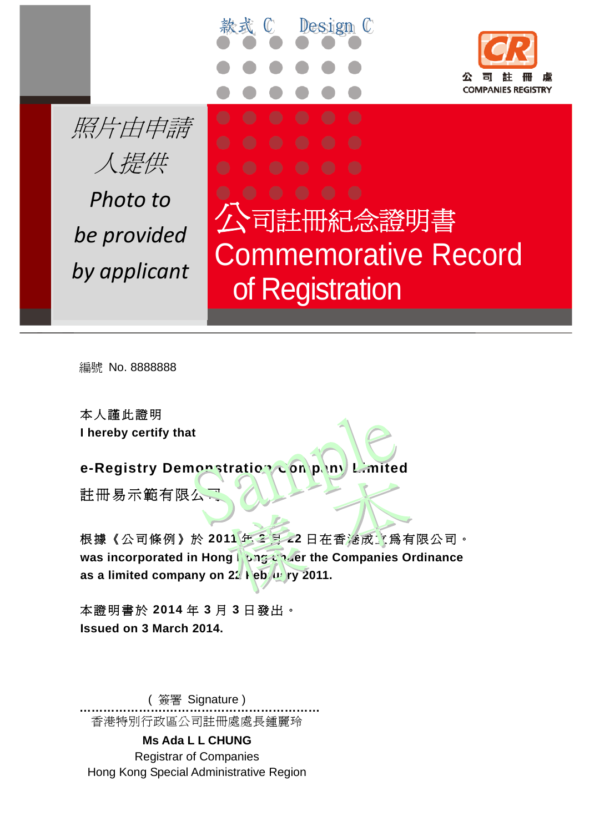



**by** applicant of Registration 公司註冊紀念證明書 Commemorative Record

編號 No. 8888888

本人謹此證明 **I hereby certify that** 

**e-Registry Demonstration Company Limited** 註冊易示範有限么

根據《公司條例》於 **2011** 年 **2** 月 **22** 日在香港成立為有限公司。 **was incorporated in Hong Rong Conget the Companies Ordinance** as a limited company on 22 Feb us ry 2011.

 $\mathbb{C}$ 

Design C

本證明書於 **2014** 年 **3** 月 **3** 日發出。 **Issued on 3 March 2014.** 

( 簽署 Signature ) **………………….…………………………………** 香港特別行政區公司註冊處處長鍾麗玲